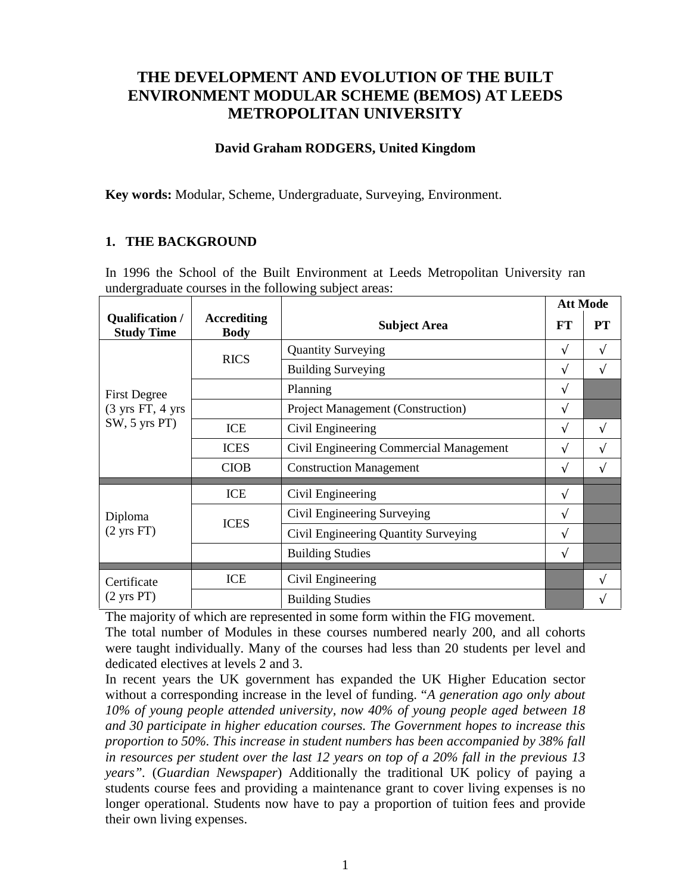# **THE DEVELOPMENT AND EVOLUTION OF THE BUILT ENVIRONMENT MODULAR SCHEME (BEMOS) AT LEEDS METROPOLITAN UNIVERSITY**

# **David Graham RODGERS, United Kingdom**

**Key words:** Modular, Scheme, Undergraduate, Surveying, Environment.

# **1. THE BACKGROUND**

In 1996 the School of the Built Environment at Leeds Metropolitan University ran undergraduate courses in the following subject areas:

|                                                                             |             |                                          |   | <b>Att Mode</b> |  |
|-----------------------------------------------------------------------------|-------------|------------------------------------------|---|-----------------|--|
| Qualification /<br><b>Accrediting</b><br><b>Study Time</b><br><b>Body</b>   |             | <b>Subject Area</b>                      |   | <b>PT</b>       |  |
| <b>First Degree</b><br>$(3 \text{ yrs FT}, 4 \text{ yrs})$<br>SW, 5 yrs PT) | <b>RICS</b> | <b>Quantity Surveying</b>                | N | V               |  |
|                                                                             |             | <b>Building Surveying</b>                | N | V               |  |
|                                                                             |             | Planning                                 |   |                 |  |
|                                                                             |             | <b>Project Management (Construction)</b> | V |                 |  |
|                                                                             | <b>ICE</b>  | Civil Engineering                        |   | V               |  |
|                                                                             | <b>ICES</b> | Civil Engineering Commercial Management  |   | V               |  |
|                                                                             | <b>CIOB</b> | <b>Construction Management</b>           |   | V               |  |
| Diploma<br>$(2 \text{ yrs FT})$                                             | ICE         | Civil Engineering                        | N |                 |  |
|                                                                             | <b>ICES</b> | Civil Engineering Surveying              | V |                 |  |
|                                                                             |             | Civil Engineering Quantity Surveying     | V |                 |  |
|                                                                             |             | <b>Building Studies</b>                  | V |                 |  |
| Certificate<br>$(2 \text{ yrs PT})$                                         | <b>ICE</b>  | Civil Engineering                        |   | ٦               |  |
|                                                                             |             | <b>Building Studies</b>                  |   |                 |  |

The majority of which are represented in some form within the FIG movement.

The total number of Modules in these courses numbered nearly 200, and all cohorts were taught individually. Many of the courses had less than 20 students per level and dedicated electives at levels 2 and 3.

In recent years the UK government has expanded the UK Higher Education sector without a corresponding increase in the level of funding. "*A generation ago only about 10% of young people attended university, now 40% of young people aged between 18 and 30 participate in higher education courses. The Government hopes to increase this proportion to 50%. This increase in student numbers has been accompanied by 38% fall in resources per student over the last 12 years on top of a 20% fall in the previous 13 years".* (*Guardian Newspaper*) Additionally the traditional UK policy of paying a students course fees and providing a maintenance grant to cover living expenses is no longer operational. Students now have to pay a proportion of tuition fees and provide their own living expenses.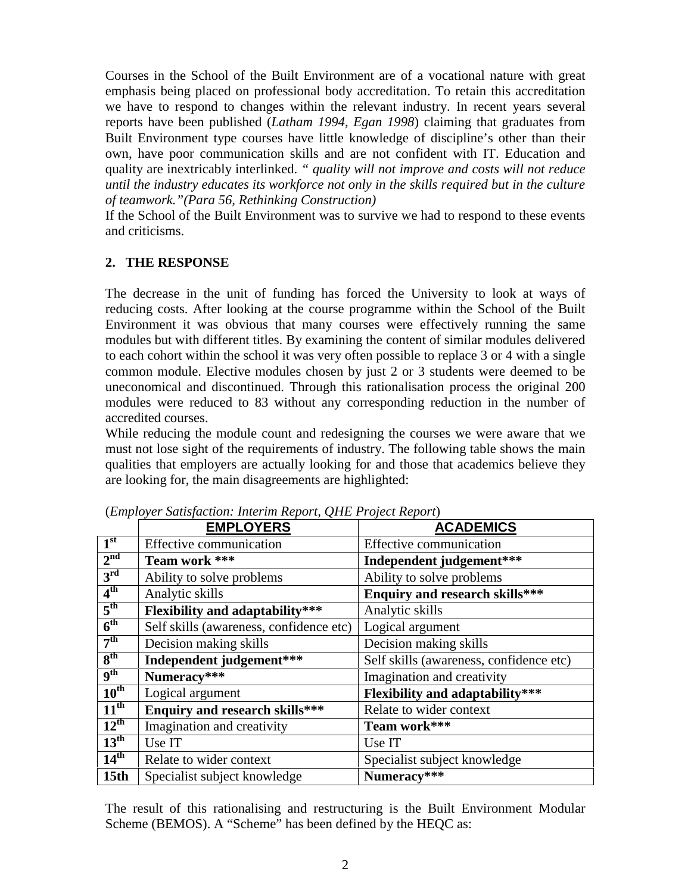Courses in the School of the Built Environment are of a vocational nature with great emphasis being placed on professional body accreditation. To retain this accreditation we have to respond to changes within the relevant industry. In recent years several reports have been published (*Latham 1994, Egan 1998*) claiming that graduates from Built Environment type courses have little knowledge of discipline's other than their own, have poor communication skills and are not confident with IT. Education and quality are inextricably interlinked. *" quality will not improve and costs will not reduce until the industry educates its workforce not only in the skills required but in the culture of teamwork."(Para 56, Rethinking Construction)*

If the School of the Built Environment was to survive we had to respond to these events and criticisms.

# **2. THE RESPONSE**

The decrease in the unit of funding has forced the University to look at ways of reducing costs. After looking at the course programme within the School of the Built Environment it was obvious that many courses were effectively running the same modules but with different titles. By examining the content of similar modules delivered to each cohort within the school it was very often possible to replace 3 or 4 with a single common module. Elective modules chosen by just 2 or 3 students were deemed to be uneconomical and discontinued. Through this rationalisation process the original 200 modules were reduced to 83 without any corresponding reduction in the number of accredited courses.

While reducing the module count and redesigning the courses we were aware that we must not lose sight of the requirements of industry. The following table shows the main qualities that employers are actually looking for and those that academics believe they are looking for, the main disagreements are highlighted:

|                          | <b>EMPLOYERS</b>                        | <b>ACADEMICS</b>                        |
|--------------------------|-----------------------------------------|-----------------------------------------|
| 1 <sup>st</sup>          | Effective communication                 | Effective communication                 |
| 2 <sup>nd</sup>          | Team work ***                           | Independent judgement***                |
| 3 <sup>rd</sup>          | Ability to solve problems               | Ability to solve problems               |
| 4 <sup>th</sup>          | Analytic skills                         | <b>Enquiry and research skills***</b>   |
| 5 <sup>th</sup>          | <b>Flexibility and adaptability***</b>  | Analytic skills                         |
| $\overline{6^{th}}$      | Self skills (awareness, confidence etc) | Logical argument                        |
| 7 <sup>th</sup>          | Decision making skills                  | Decision making skills                  |
| 8 <sup>th</sup>          | Independent judgement***                | Self skills (awareness, confidence etc) |
| $\mathbf{q}^{\text{th}}$ | Numeracy***                             | Imagination and creativity              |
| $10^{\text{th}}$         | Logical argument                        | <b>Flexibility and adaptability***</b>  |
| $11^{\text{th}}$         | <b>Enquiry and research skills***</b>   | Relate to wider context                 |
| $12^{\text{th}}$         | Imagination and creativity              | Team work***                            |
| $13^{\text{th}}$         | Use IT                                  | Use IT                                  |
| 14 <sup>th</sup>         | Relate to wider context                 | Specialist subject knowledge            |
| 15 <sub>th</sub>         | Specialist subject knowledge            | Numeracy***                             |

(*Employer Satisfaction: Interim Report, QHE Project Report*)

The result of this rationalising and restructuring is the Built Environment Modular Scheme (BEMOS). A "Scheme" has been defined by the HEQC as: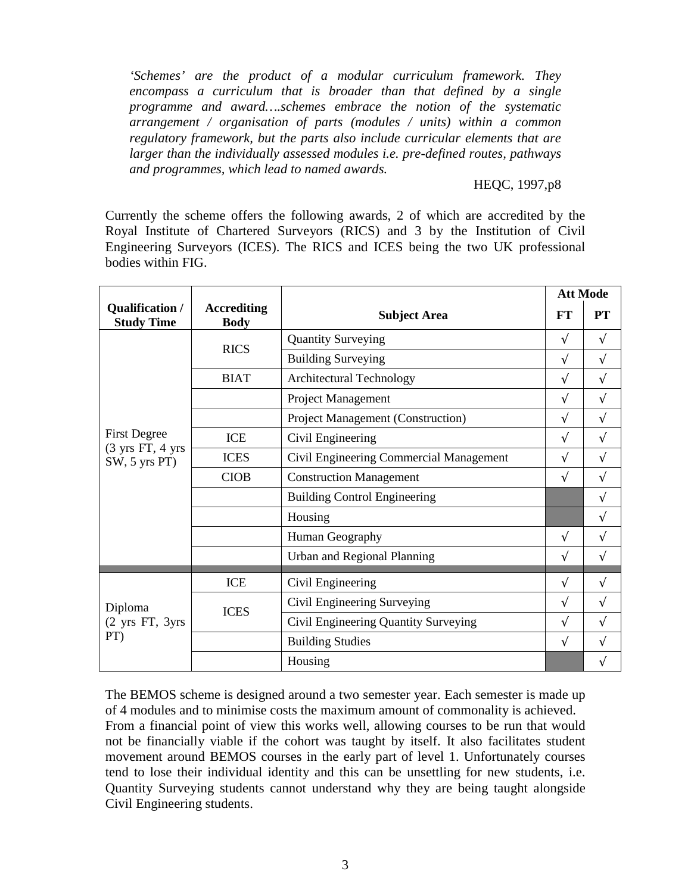*'Schemes' are the product of a modular curriculum framework. They encompass a curriculum that is broader than that defined by a single programme and award….schemes embrace the notion of the systematic arrangement / organisation of parts (modules / units) within a common regulatory framework, but the parts also include curricular elements that are larger than the individually assessed modules i.e. pre-defined routes, pathways and programmes, which lead to named awards.*

#### HEQC, 1997,p8

Currently the scheme offers the following awards, 2 of which are accredited by the Royal Institute of Chartered Surveyors (RICS) and 3 by the Institution of Civil Engineering Surveyors (ICES). The RICS and ICES being the two UK professional bodies within FIG.

|                                                                             |                                   |                                          | <b>Att Mode</b> |           |
|-----------------------------------------------------------------------------|-----------------------------------|------------------------------------------|-----------------|-----------|
| Qualification /<br><b>Study Time</b>                                        | <b>Accrediting</b><br><b>Body</b> | <b>Subject Area</b>                      | FT              | <b>PT</b> |
| <b>First Degree</b><br>$(3 \text{ yrs FT}, 4 \text{ yrs})$<br>SW, 5 yrs PT) | <b>RICS</b>                       | <b>Quantity Surveying</b>                |                 | $\sqrt{}$ |
|                                                                             |                                   | <b>Building Surveying</b>                | V               | V         |
|                                                                             | <b>BIAT</b>                       | <b>Architectural Technology</b>          |                 | V         |
|                                                                             |                                   | Project Management                       |                 | $\sqrt{}$ |
|                                                                             |                                   | <b>Project Management (Construction)</b> |                 | V         |
|                                                                             | <b>ICE</b>                        | Civil Engineering                        |                 | $\sqrt{}$ |
|                                                                             | <b>ICES</b>                       | Civil Engineering Commercial Management  |                 | V         |
|                                                                             | <b>CIOB</b>                       | <b>Construction Management</b>           |                 | $\sqrt{}$ |
|                                                                             |                                   | <b>Building Control Engineering</b>      |                 | V         |
|                                                                             |                                   | Housing                                  |                 | V         |
|                                                                             |                                   | Human Geography                          | $\sqrt{ }$      | V         |
|                                                                             |                                   | Urban and Regional Planning              |                 | $\sqrt{}$ |
| Diploma<br>(2 yrs FT, 3yrs<br>PT)                                           | <b>ICE</b>                        | Civil Engineering                        | $\sqrt{ }$      | $\sqrt{}$ |
|                                                                             |                                   | Civil Engineering Surveying              | $\sqrt{ }$      | V         |
|                                                                             | <b>ICES</b>                       | Civil Engineering Quantity Surveying     | V               | V         |
|                                                                             |                                   | <b>Building Studies</b>                  | V               | V         |
|                                                                             |                                   | Housing                                  |                 | V         |

The BEMOS scheme is designed around a two semester year. Each semester is made up of 4 modules and to minimise costs the maximum amount of commonality is achieved. From a financial point of view this works well, allowing courses to be run that would not be financially viable if the cohort was taught by itself. It also facilitates student movement around BEMOS courses in the early part of level 1. Unfortunately courses tend to lose their individual identity and this can be unsettling for new students, i.e. Quantity Surveying students cannot understand why they are being taught alongside Civil Engineering students.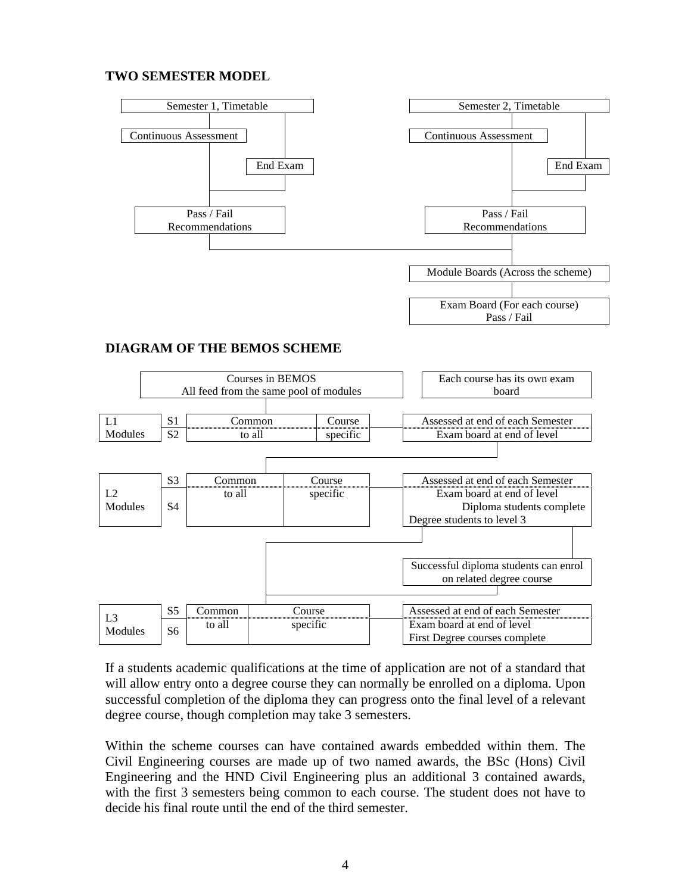# **TWO SEMESTER MODEL**



# **DIAGRAM OF THE BEMOS SCHEME**



If a students academic qualifications at the time of application are not of a standard that will allow entry onto a degree course they can normally be enrolled on a diploma. Upon successful completion of the diploma they can progress onto the final level of a relevant degree course, though completion may take 3 semesters.

Within the scheme courses can have contained awards embedded within them. The Civil Engineering courses are made up of two named awards, the BSc (Hons) Civil Engineering and the HND Civil Engineering plus an additional 3 contained awards, with the first 3 semesters being common to each course. The student does not have to decide his final route until the end of the third semester.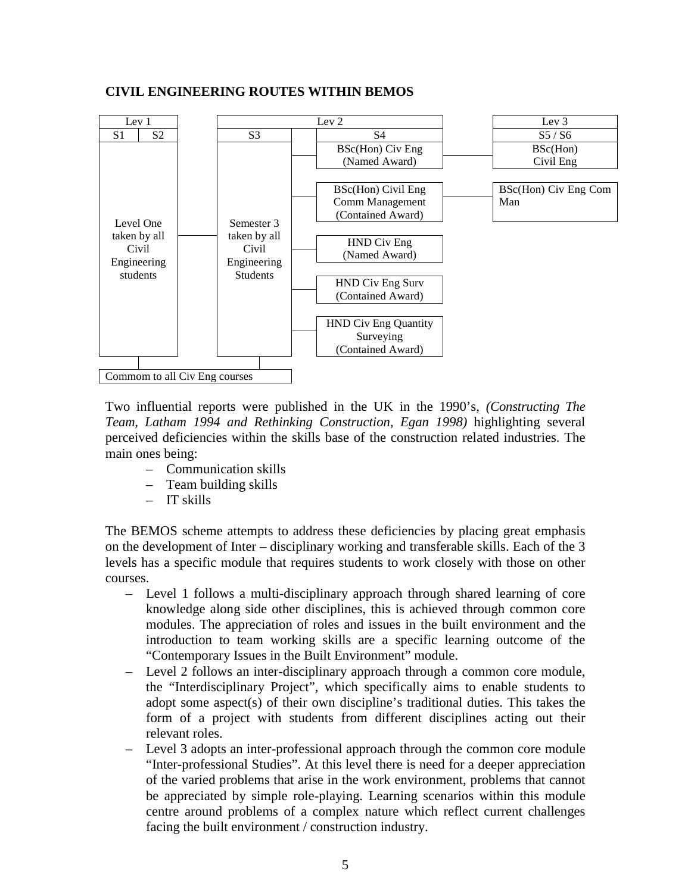#### **CIVIL ENGINEERING ROUTES WITHIN BEMOS**



Two influential reports were published in the UK in the 1990's*, (Constructing The Team, Latham 1994 and Rethinking Construction, Egan 1998)* highlighting several perceived deficiencies within the skills base of the construction related industries. The main ones being:

- Communication skills
- Team building skills
- IT skills

The BEMOS scheme attempts to address these deficiencies by placing great emphasis on the development of Inter – disciplinary working and transferable skills. Each of the 3 levels has a specific module that requires students to work closely with those on other courses.

- Level 1 follows a multi-disciplinary approach through shared learning of core knowledge along side other disciplines, this is achieved through common core modules. The appreciation of roles and issues in the built environment and the introduction to team working skills are a specific learning outcome of the "Contemporary Issues in the Built Environment" module.
- Level 2 follows an inter-disciplinary approach through a common core module, the "Interdisciplinary Project", which specifically aims to enable students to adopt some aspect(s) of their own discipline's traditional duties. This takes the form of a project with students from different disciplines acting out their relevant roles.
- Level 3 adopts an inter-professional approach through the common core module "Inter-professional Studies". At this level there is need for a deeper appreciation of the varied problems that arise in the work environment, problems that cannot be appreciated by simple role-playing. Learning scenarios within this module centre around problems of a complex nature which reflect current challenges facing the built environment / construction industry.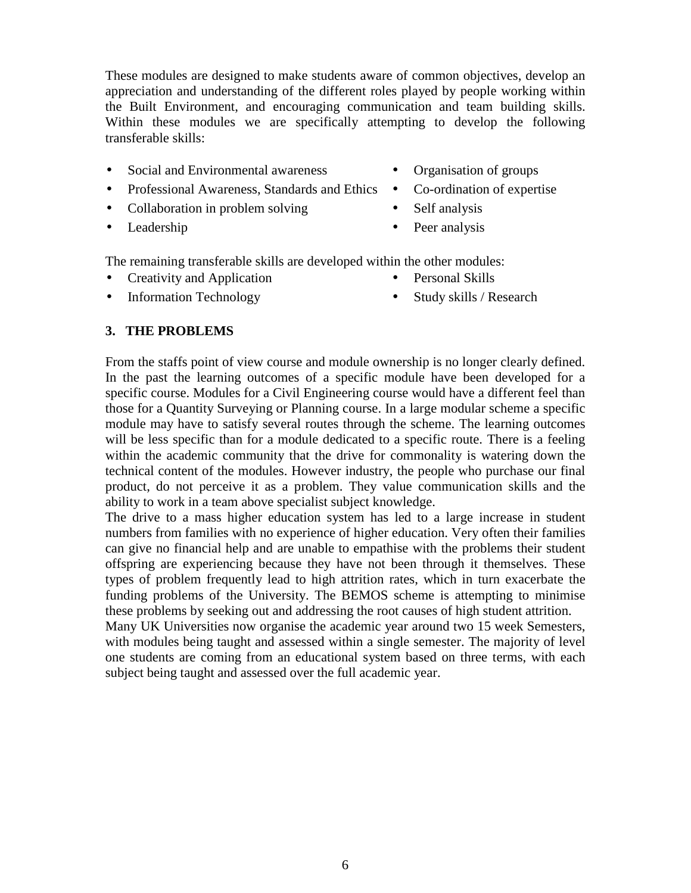These modules are designed to make students aware of common objectives, develop an appreciation and understanding of the different roles played by people working within the Built Environment, and encouraging communication and team building skills. Within these modules we are specifically attempting to develop the following transferable skills:

- Social and Environmental awareness Organisation of groups
- Professional Awareness, Standards and Ethics Co-ordination of expertise
- Collaboration in problem solving Self analysis
- 
- 
- 
- 
- Leadership Peer analysis

The remaining transferable skills are developed within the other modules:

- Creativity and Application Personal Skills
- Information Technology Study skills / Research
- -

# **3. THE PROBLEMS**

From the staffs point of view course and module ownership is no longer clearly defined. In the past the learning outcomes of a specific module have been developed for a specific course. Modules for a Civil Engineering course would have a different feel than those for a Quantity Surveying or Planning course. In a large modular scheme a specific module may have to satisfy several routes through the scheme. The learning outcomes will be less specific than for a module dedicated to a specific route. There is a feeling within the academic community that the drive for commonality is watering down the technical content of the modules. However industry, the people who purchase our final product, do not perceive it as a problem. They value communication skills and the ability to work in a team above specialist subject knowledge.

The drive to a mass higher education system has led to a large increase in student numbers from families with no experience of higher education. Very often their families can give no financial help and are unable to empathise with the problems their student offspring are experiencing because they have not been through it themselves. These types of problem frequently lead to high attrition rates, which in turn exacerbate the funding problems of the University. The BEMOS scheme is attempting to minimise these problems by seeking out and addressing the root causes of high student attrition.

Many UK Universities now organise the academic year around two 15 week Semesters, with modules being taught and assessed within a single semester. The majority of level one students are coming from an educational system based on three terms, with each subject being taught and assessed over the full academic year.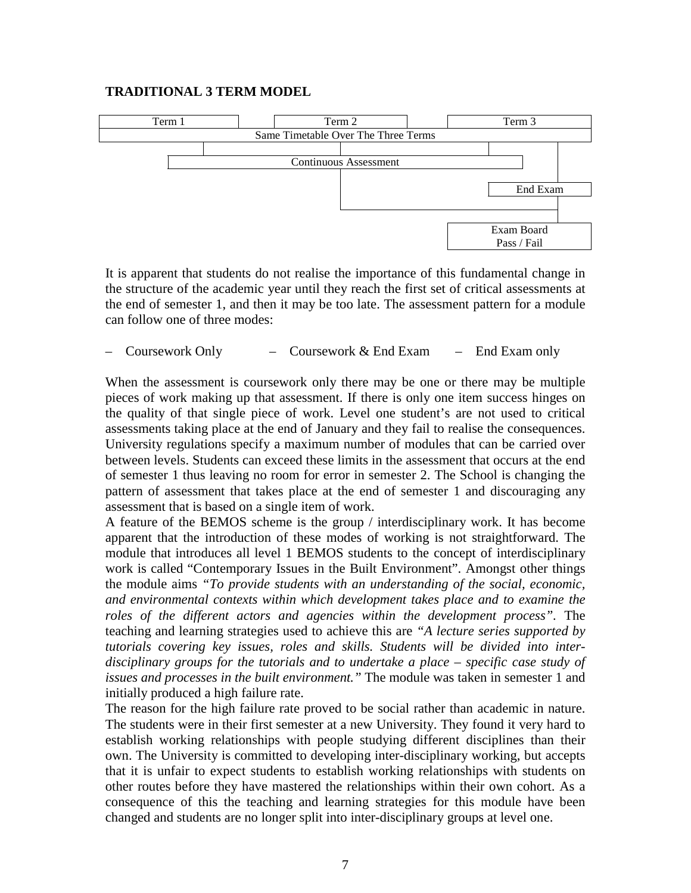#### **TRADITIONAL 3 TERM MODEL**



It is apparent that students do not realise the importance of this fundamental change in the structure of the academic year until they reach the first set of critical assessments at the end of semester 1, and then it may be too late. The assessment pattern for a module can follow one of three modes:

#### – Coursework Only – Coursework & End Exam – End Exam only

When the assessment is coursework only there may be one or there may be multiple pieces of work making up that assessment. If there is only one item success hinges on the quality of that single piece of work. Level one student's are not used to critical assessments taking place at the end of January and they fail to realise the consequences. University regulations specify a maximum number of modules that can be carried over between levels. Students can exceed these limits in the assessment that occurs at the end of semester 1 thus leaving no room for error in semester 2. The School is changing the pattern of assessment that takes place at the end of semester 1 and discouraging any assessment that is based on a single item of work.

A feature of the BEMOS scheme is the group / interdisciplinary work. It has become apparent that the introduction of these modes of working is not straightforward. The module that introduces all level 1 BEMOS students to the concept of interdisciplinary work is called "Contemporary Issues in the Built Environment". Amongst other things the module aims *"To provide students with an understanding of the social, economic, and environmental contexts within which development takes place and to examine the roles of the different actors and agencies within the development process".* The teaching and learning strategies used to achieve this are *"A lecture series supported by tutorials covering key issues, roles and skills. Students will be divided into interdisciplinary groups for the tutorials and to undertake a place – specific case study of issues and processes in the built environment."* The module was taken in semester 1 and initially produced a high failure rate.

The reason for the high failure rate proved to be social rather than academic in nature. The students were in their first semester at a new University. They found it very hard to establish working relationships with people studying different disciplines than their own. The University is committed to developing inter-disciplinary working, but accepts that it is unfair to expect students to establish working relationships with students on other routes before they have mastered the relationships within their own cohort. As a consequence of this the teaching and learning strategies for this module have been changed and students are no longer split into inter-disciplinary groups at level one.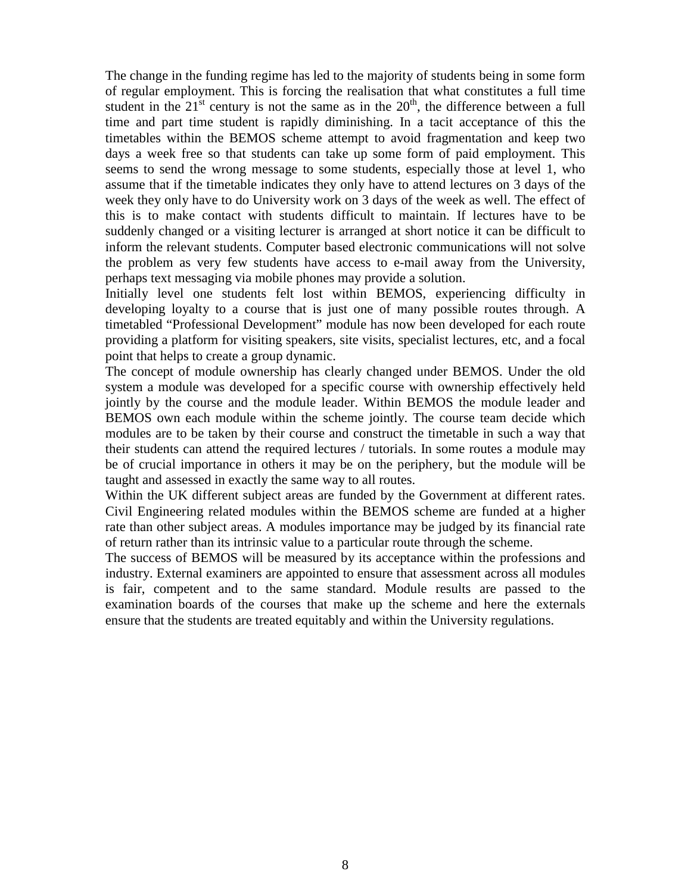The change in the funding regime has led to the majority of students being in some form of regular employment. This is forcing the realisation that what constitutes a full time student in the  $21<sup>st</sup>$  century is not the same as in the  $20<sup>th</sup>$ , the difference between a full time and part time student is rapidly diminishing. In a tacit acceptance of this the timetables within the BEMOS scheme attempt to avoid fragmentation and keep two days a week free so that students can take up some form of paid employment. This seems to send the wrong message to some students, especially those at level 1, who assume that if the timetable indicates they only have to attend lectures on 3 days of the week they only have to do University work on 3 days of the week as well. The effect of this is to make contact with students difficult to maintain. If lectures have to be suddenly changed or a visiting lecturer is arranged at short notice it can be difficult to inform the relevant students. Computer based electronic communications will not solve the problem as very few students have access to e-mail away from the University, perhaps text messaging via mobile phones may provide a solution.

Initially level one students felt lost within BEMOS, experiencing difficulty in developing loyalty to a course that is just one of many possible routes through. A timetabled "Professional Development" module has now been developed for each route providing a platform for visiting speakers, site visits, specialist lectures, etc, and a focal point that helps to create a group dynamic.

The concept of module ownership has clearly changed under BEMOS. Under the old system a module was developed for a specific course with ownership effectively held jointly by the course and the module leader. Within BEMOS the module leader and BEMOS own each module within the scheme jointly. The course team decide which modules are to be taken by their course and construct the timetable in such a way that their students can attend the required lectures / tutorials. In some routes a module may be of crucial importance in others it may be on the periphery, but the module will be taught and assessed in exactly the same way to all routes.

Within the UK different subject areas are funded by the Government at different rates. Civil Engineering related modules within the BEMOS scheme are funded at a higher rate than other subject areas. A modules importance may be judged by its financial rate of return rather than its intrinsic value to a particular route through the scheme.

The success of BEMOS will be measured by its acceptance within the professions and industry. External examiners are appointed to ensure that assessment across all modules is fair, competent and to the same standard. Module results are passed to the examination boards of the courses that make up the scheme and here the externals ensure that the students are treated equitably and within the University regulations.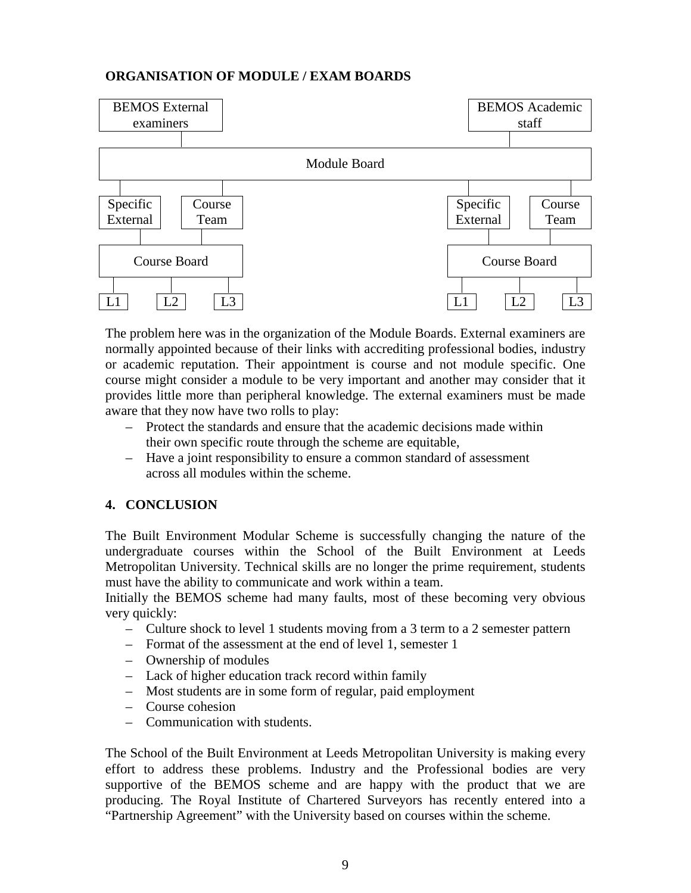# **ORGANISATION OF MODULE / EXAM BOARDS**



The problem here was in the organization of the Module Boards. External examiners are normally appointed because of their links with accrediting professional bodies, industry or academic reputation. Their appointment is course and not module specific. One course might consider a module to be very important and another may consider that it provides little more than peripheral knowledge. The external examiners must be made aware that they now have two rolls to play:

- Protect the standards and ensure that the academic decisions made within their own specific route through the scheme are equitable,
- Have a joint responsibility to ensure a common standard of assessment across all modules within the scheme.

#### **4. CONCLUSION**

The Built Environment Modular Scheme is successfully changing the nature of the undergraduate courses within the School of the Built Environment at Leeds Metropolitan University. Technical skills are no longer the prime requirement, students must have the ability to communicate and work within a team.

Initially the BEMOS scheme had many faults, most of these becoming very obvious very quickly:

- Culture shock to level 1 students moving from a 3 term to a 2 semester pattern
- Format of the assessment at the end of level 1, semester 1
- Ownership of modules
- Lack of higher education track record within family
- Most students are in some form of regular, paid employment
- Course cohesion
- Communication with students.

The School of the Built Environment at Leeds Metropolitan University is making every effort to address these problems. Industry and the Professional bodies are very supportive of the BEMOS scheme and are happy with the product that we are producing. The Royal Institute of Chartered Surveyors has recently entered into a "Partnership Agreement" with the University based on courses within the scheme.